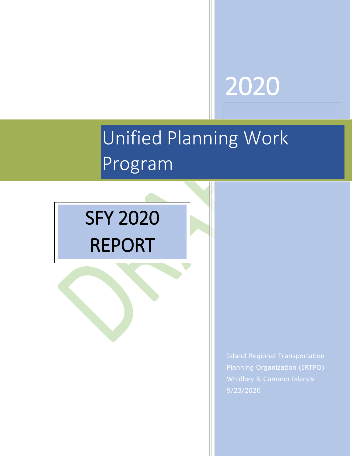# 2020

# i<br>T Unified Planning Work Program

# SFY 2020 REPORT

Island Regional Transportation Planning Organization (IRTPO) Whidbey & Camano Islands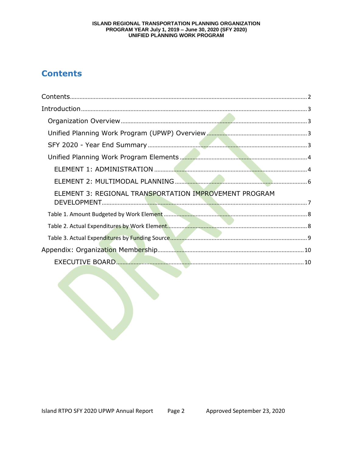### ISLAND REGIONAL TRANSPORTATION PLANNING ORGANIZATION PROGRAM YEAR July 1, 2019 – June 30, 2020 (SFY 2020)<br>UNIFIED PLANNING WORK PROGRAM

# **Contents**

| ELEMENT 3: REGIONAL TRANSPORTATION IMPROVEMENT PROGRAM |  |
|--------------------------------------------------------|--|
|                                                        |  |
|                                                        |  |
|                                                        |  |
|                                                        |  |
|                                                        |  |
|                                                        |  |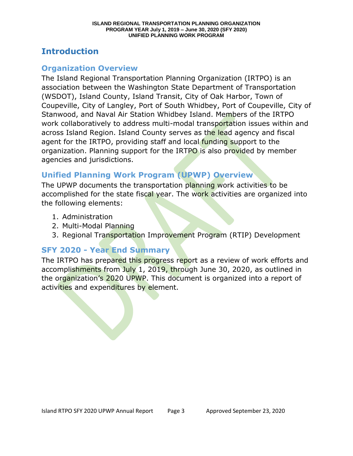## **Introduction**

#### **Organization Overview**

The Island Regional Transportation Planning Organization (IRTPO) is an association between the Washington State Department of Transportation (WSDOT), Island County, Island Transit, City of Oak Harbor, Town of Coupeville, City of Langley, Port of South Whidbey, Port of Coupeville, City of Stanwood, and Naval Air Station Whidbey Island. Members of the IRTPO work collaboratively to address multi-modal transportation issues within and across Island Region. Island County serves as the lead agency and fiscal agent for the IRTPO, providing staff and local funding support to the organization. Planning support for the IRTPO is also provided by member agencies and jurisdictions.

## **Unified Planning Work Program (UPWP) Overview**

The UPWP documents the transportation planning work activities to be accomplished for the state fiscal year. The work activities are organized into the following elements:

- 1. Administration
- 2. Multi-Modal Planning
- 3. Regional Transportation Improvement Program (RTIP) Development

## **SFY 2020 - Year End Summary**

The IRTPO has prepared this progress report as a review of work efforts and accomplishments from July 1, 2019, through June 30, 2020, as outlined in the organization's 2020 UPWP. This document is organized into a report of activities and expenditures by element.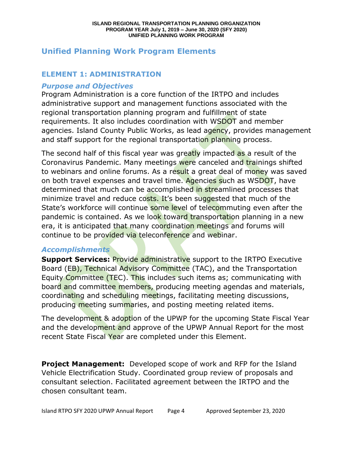### **Unified Planning Work Program Elements**

#### **ELEMENT 1: ADMINISTRATION**

#### *Purpose and Objectives*

Program Administration is a core function of the IRTPO and includes administrative support and management functions associated with the regional transportation planning program and fulfillment of state requirements. It also includes coordination with WSDOT and member agencies. Island County Public Works, as lead agency, provides management and staff support for the regional transportation planning process.

The second half of this fiscal year was greatly impacted as a result of the Coronavirus Pandemic. Many meetings were canceled and trainings shifted to webinars and online forums. As a result a great deal of money was saved on both travel expenses and travel time. Agencies such as WSDOT, have determined that much can be accomplished in streamlined processes that minimize travel and reduce costs. It's been suggested that much of the State's workforce will continue some level of telecommuting even after the pandemic is contained. As we look toward transportation planning in a new era, it is anticipated that many coordination meetings and forums will continue to be provided via teleconference and webinar.

#### *Accomplishments*

**Support Services: Provide administrative support to the IRTPO Executive** Board (EB), Technical Advisory Committee (TAC), and the Transportation Equity Committee (TEC). This includes such items as; communicating with board and committee members, producing meeting agendas and materials, coordinating and scheduling meetings, facilitating meeting discussions, producing meeting summaries, and posting meeting related items.

The development & adoption of the UPWP for the upcoming State Fiscal Year and the development and approve of the UPWP Annual Report for the most recent State Fiscal Year are completed under this Element.

**Project Management:** Developed scope of work and RFP for the Island Vehicle Electrification Study. Coordinated group review of proposals and consultant selection. Facilitated agreement between the IRTPO and the chosen consultant team.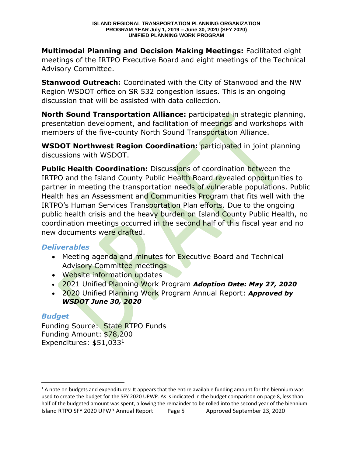**Multimodal Planning and Decision Making Meetings:** Facilitated eight meetings of the IRTPO Executive Board and eight meetings of the Technical Advisory Committee.

**Stanwood Outreach:** Coordinated with the City of Stanwood and the NW Region WSDOT office on SR 532 congestion issues. This is an ongoing discussion that will be assisted with data collection.

**North Sound Transportation Alliance:** participated in strategic planning, presentation development, and facilitation of meetings and workshops with members of the five-county North Sound Transportation Alliance.

**WSDOT Northwest Region Coordination:** participated in joint planning discussions with WSDOT.

**Public Health Coordination:** Discussions of coordination between the IRTPO and the Island County Public Health Board revealed opportunities to partner in meeting the transportation needs of vulnerable populations. Public Health has an Assessment and Communities Program that fits well with the IRTPO's Human Services Transportation Plan efforts. Due to the ongoing public health crisis and the heavy burden on Island County Public Health, no coordination meetings occurred in the second half of this fiscal year and no new documents were drafted.

#### *Deliverables*

- Meeting agenda and minutes for Executive Board and Technical Advisory Committee meetings
- Website information updates
- 2021 Unified Planning Work Program *Adoption Date: May 27, 2020*
- 2020 Unified Planning Work Program Annual Report: *Approved by WSDOT June 30, 2020*

#### *Budget*

 $\overline{\phantom{a}}$ 

Funding Source: State RTPO Funds Funding Amount: \$78,200 Expenditures: \$51,033<sup>1</sup>

Island RTPO SFY 2020 UPWP Annual Report Page 5 Approved September 23, 2020  $1$  A note on budgets and expenditures: It appears that the entire available funding amount for the biennium was used to create the budget for the SFY 2020 UPWP. As is indicated in the budget comparison on page 8, less than half of the budgeted amount was spent, allowing the remainder to be rolled into the second year of the biennium.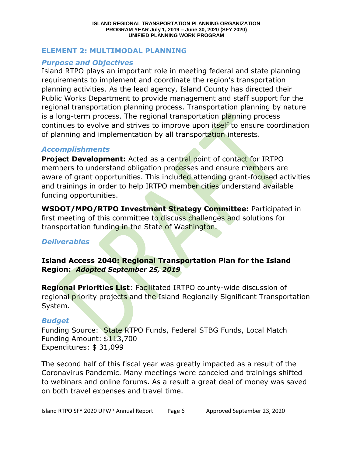#### **ELEMENT 2: MULTIMODAL PLANNING**

#### *Purpose and Objectives*

Island RTPO plays an important role in meeting federal and state planning requirements to implement and coordinate the region's transportation planning activities. As the lead agency, Island County has directed their Public Works Department to provide management and staff support for the regional transportation planning process. Transportation planning by nature is a long-term process. The regional transportation planning process continues to evolve and strives to improve upon itself to ensure coordination of planning and implementation by all transportation interests.

#### *Accomplishments*

**Project Development:** Acted as a central point of contact for IRTPO members to understand obligation processes and ensure members are aware of grant opportunities. This included attending grant-focused activities and trainings in order to help IRTPO member cities understand available funding opportunities.

**WSDOT/MPO/RTPO Investment Strategy Committee:** Participated in first meeting of this committee to discuss challenges and solutions for transportation funding in the State of Washington.

#### *Deliverables*

#### **Island Access 2040: Regional Transportation Plan for the Island Region:** *Adopted September 25, 2019*

**Regional Priorities List**: Facilitated IRTPO county-wide discussion of regional priority projects and the Island Regionally Significant Transportation System.

#### *Budget*

Funding Source: State RTPO Funds, Federal STBG Funds, Local Match Funding Amount: \$113,700 Expenditures: \$ 31,099

The second half of this fiscal year was greatly impacted as a result of the Coronavirus Pandemic. Many meetings were canceled and trainings shifted to webinars and online forums. As a result a great deal of money was saved on both travel expenses and travel time.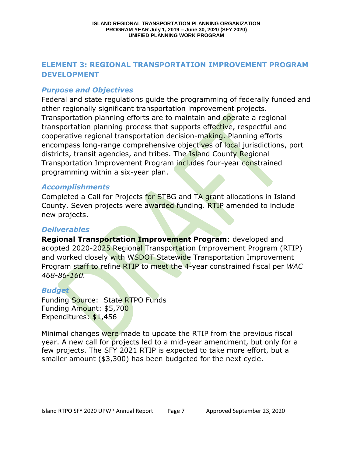#### **ELEMENT 3: REGIONAL TRANSPORTATION IMPROVEMENT PROGRAM DEVELOPMENT**

#### *Purpose and Objectives*

Federal and state regulations guide the programming of federally funded and other regionally significant transportation improvement projects. Transportation planning efforts are to maintain and operate a regional transportation planning process that supports effective, respectful and cooperative regional transportation decision-making. Planning efforts encompass long-range comprehensive objectives of local jurisdictions, port districts, transit agencies, and tribes. The Island County Regional Transportation Improvement Program includes four-year constrained programming within a six-year plan.

#### *Accomplishments*

Completed a Call for Projects for STBG and TA grant allocations in Island County. Seven projects were awarded funding. RTIP amended to include new projects.

#### *Deliverables*

**Regional Transportation Improvement Program**: developed and adopted 2020-2025 Regional Transportation Improvement Program (RTIP) and worked closely with WSDOT Statewide Transportation Improvement Program staff to refine RTIP to meet the 4-year constrained fiscal per *WAC 468-86-160.* 

#### *Budget*

Funding Source: State RTPO Funds Funding Amount: \$5,700 Expenditures: \$1,456

Minimal changes were made to update the RTIP from the previous fiscal year. A new call for projects led to a mid-year amendment, but only for a few projects. The SFY 2021 RTIP is expected to take more effort, but a smaller amount (\$3,300) has been budgeted for the next cycle.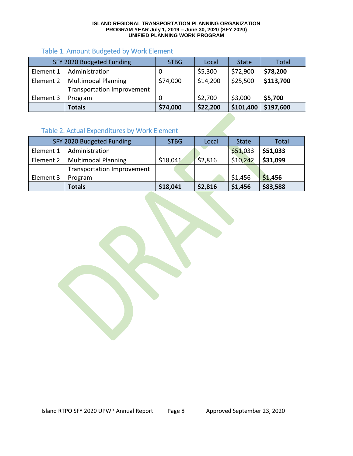#### **ISLAND REGIONAL TRANSPORTATION PLANNING ORGANIZATION PROGRAM YEAR July 1, 2019 – June 30, 2020 (SFY 2020) UNIFIED PLANNING WORK PROGRAM**

#### Table 1. Amount Budgeted by Work Element

|           | SFY 2020 Budgeted Funding  | <b>STBG</b> | Local    | <b>State</b> | <b>Total</b> |
|-----------|----------------------------|-------------|----------|--------------|--------------|
| Element 1 | Administration             |             | \$5,300  | \$72,900     | \$78,200     |
| Element 2 | <b>Multimodal Planning</b> | \$74,000    | \$14,200 | \$25,500     | \$113,700    |
|           | Transportation Improvement |             |          |              |              |
| Element 3 | Program                    |             | \$2,700  | \$3,000      | \$5,700      |
|           | <b>Totals</b>              | \$74,000    | \$22,200 | \$101,400    | \$197,600    |

#### Table 2. Actual Expenditures by Work Element

|           | SFY 2020 Budgeted Funding         | <b>STBG</b> | Local   | <b>State</b> | Total    |
|-----------|-----------------------------------|-------------|---------|--------------|----------|
| Element 1 | Administration                    |             |         | \$51,033     | \$51,033 |
| Element 2 | <b>Multimodal Planning</b>        | \$18,041    | \$2,816 | \$10,242     | \$31,099 |
|           | <b>Transportation Improvement</b> |             |         |              |          |
| Element 3 | Program                           |             |         | \$1,456      | \$1,456  |
|           | <b>Totals</b>                     | \$18,041    | \$2,816 | \$1,456      | \$83,588 |

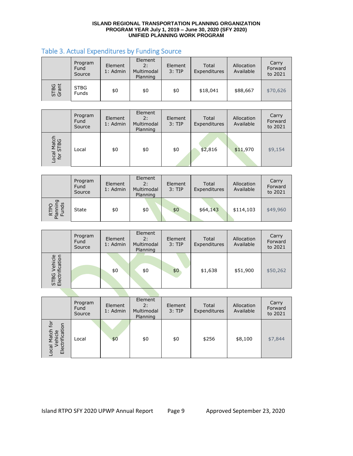#### **ISLAND REGIONAL TRANSPORTATION PLANNING ORGANIZATION PROGRAM YEAR July 1, 2019 – June 30, 2020 (SFY 2020) UNIFIED PLANNING WORK PROGRAM**

#### Table 3. Actual Expenditures by Funding Source

|                         | Program<br>Fund<br>Source | Element<br>1: Admin   | Element<br>2:<br>Multimodal<br>Planning | Element<br>$3:$ TIP | Total<br>Expenditures | Allocation<br>Available | Carry<br>Forward<br>to 2021 |
|-------------------------|---------------------------|-----------------------|-----------------------------------------|---------------------|-----------------------|-------------------------|-----------------------------|
| STBG<br>Grant           | <b>STBG</b><br>Funds      | \$0                   | \$0                                     | \$0                 | \$18,041              | \$88,667                | \$70,626                    |
|                         |                           |                       |                                         |                     |                       |                         |                             |
|                         | Program<br>Fund<br>Source | Element<br>$1:$ Admin | Element<br>2:<br>Multimodal<br>Planning | Element<br>$3:$ TIP | Total<br>Expenditures | Allocation<br>Available | Carry<br>Forward<br>to 2021 |
| Local Match<br>for STBG | Local                     | \$0                   | \$0                                     | \$0                 | \$2,816               | \$11,970                | \$9,154                     |

|                          | Program<br>Fund<br>Source | Element<br>1: Admin | Element<br>2:<br>Multimodal<br>Planning | Element<br>3: TIP | Total<br>Expenditures | Allocation<br>Available | Carry<br>Forward<br>to 2021 |
|--------------------------|---------------------------|---------------------|-----------------------------------------|-------------------|-----------------------|-------------------------|-----------------------------|
| RTPO<br>lanning<br>Funds | State                     | \$0                 | \$0                                     | \$0               | \$64,143              | \$114,103               | \$49,960                    |

|                                 | Program<br>Fund<br>Source | Element<br>1: Admin | Element<br>2:<br>Multimodal<br>Planning | Element<br>$3:$ TIP | Total<br>Expenditures | Allocation<br>Available | Carry<br>Forward<br>to 2021 |
|---------------------------------|---------------------------|---------------------|-----------------------------------------|---------------------|-----------------------|-------------------------|-----------------------------|
| STBG Vehicle<br>Electrification |                           | \$0                 | \$0                                     | \$0                 | \$1,638               | \$51,900                | \$50,262                    |

|                                                        | Program<br>Fund<br>Source | Element<br>1: Admin | Element<br>2:<br>Multimodal<br>Planning | Element<br>$3:$ TIP | Total<br>Expenditures | Allocation<br>Available | Carry<br>Forward<br>to 2021 |
|--------------------------------------------------------|---------------------------|---------------------|-----------------------------------------|---------------------|-----------------------|-------------------------|-----------------------------|
| خ<br>م<br>ification<br>Local Match<br>Vehicle<br>Elect | Local                     | \$0                 | \$0                                     | \$0                 | \$256                 | \$8,100                 | \$7,844                     |